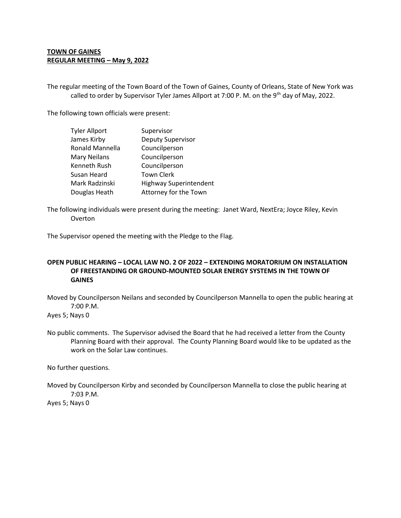## **TOWN OF GAINES REGULAR MEETING – May 9, 2022**

The regular meeting of the Town Board of the Town of Gaines, County of Orleans, State of New York was called to order by Supervisor Tyler James Allport at 7:00 P. M. on the 9<sup>th</sup> day of May, 2022.

The following town officials were present:

| <b>Tyler Allport</b> | Supervisor                    |
|----------------------|-------------------------------|
| James Kirby          | Deputy Supervisor             |
| Ronald Mannella      | Councilperson                 |
| <b>Mary Neilans</b>  | Councilperson                 |
| Kenneth Rush         | Councilperson                 |
| Susan Heard          | <b>Town Clerk</b>             |
| Mark Radzinski       | <b>Highway Superintendent</b> |
| Douglas Heath        | Attorney for the Town         |

The following individuals were present during the meeting: Janet Ward, NextEra; Joyce Riley, Kevin Overton

The Supervisor opened the meeting with the Pledge to the Flag.

## **OPEN PUBLIC HEARING – LOCAL LAW NO. 2 OF 2022 – EXTENDING MORATORIUM ON INSTALLATION OF FREESTANDING OR GROUND-MOUNTED SOLAR ENERGY SYSTEMS IN THE TOWN OF GAINES**

Moved by Councilperson Neilans and seconded by Councilperson Mannella to open the public hearing at 7:00 P.M.

Ayes 5; Nays 0

No public comments. The Supervisor advised the Board that he had received a letter from the County Planning Board with their approval. The County Planning Board would like to be updated as the work on the Solar Law continues.

No further questions.

Moved by Councilperson Kirby and seconded by Councilperson Mannella to close the public hearing at 7:03 P.M. Ayes 5; Nays 0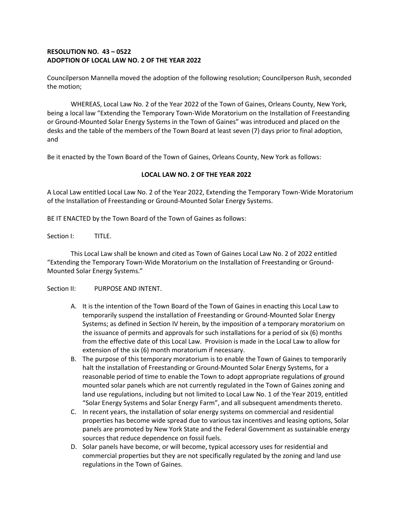## **RESOLUTION NO. 43 – 0522 ADOPTION OF LOCAL LAW NO. 2 OF THE YEAR 2022**

Councilperson Mannella moved the adoption of the following resolution; Councilperson Rush, seconded the motion;

WHEREAS, Local Law No. 2 of the Year 2022 of the Town of Gaines, Orleans County, New York, being a local law "Extending the Temporary Town-Wide Moratorium on the Installation of Freestanding or Ground-Mounted Solar Energy Systems in the Town of Gaines" was introduced and placed on the desks and the table of the members of the Town Board at least seven (7) days prior to final adoption, and

Be it enacted by the Town Board of the Town of Gaines, Orleans County, New York as follows:

### **LOCAL LAW NO. 2 OF THE YEAR 2022**

A Local Law entitled Local Law No. 2 of the Year 2022, Extending the Temporary Town-Wide Moratorium of the Installation of Freestanding or Ground-Mounted Solar Energy Systems.

BE IT ENACTED by the Town Board of the Town of Gaines as follows:

Section I: TITLE.

This Local Law shall be known and cited as Town of Gaines Local Law No. 2 of 2022 entitled "Extending the Temporary Town-Wide Moratorium on the Installation of Freestanding or Ground-Mounted Solar Energy Systems."

Section II: PURPOSE AND INTENT.

- A. It is the intention of the Town Board of the Town of Gaines in enacting this Local Law to temporarily suspend the installation of Freestanding or Ground-Mounted Solar Energy Systems; as defined in Section IV herein, by the imposition of a temporary moratorium on the issuance of permits and approvals for such installations for a period of six (6) months from the effective date of this Local Law. Provision is made in the Local Law to allow for extension of the six (6) month moratorium if necessary.
- B. The purpose of this temporary moratorium is to enable the Town of Gaines to temporarily halt the installation of Freestanding or Ground-Mounted Solar Energy Systems, for a reasonable period of time to enable the Town to adopt appropriate regulations of ground mounted solar panels which are not currently regulated in the Town of Gaines zoning and land use regulations, including but not limited to Local Law No. 1 of the Year 2019, entitled "Solar Energy Systems and Solar Energy Farm", and all subsequent amendments thereto.
- C. In recent years, the installation of solar energy systems on commercial and residential properties has become wide spread due to various tax incentives and leasing options, Solar panels are promoted by New York State and the Federal Government as sustainable energy sources that reduce dependence on fossil fuels.
- D. Solar panels have become, or will become, typical accessory uses for residential and commercial properties but they are not specifically regulated by the zoning and land use regulations in the Town of Gaines.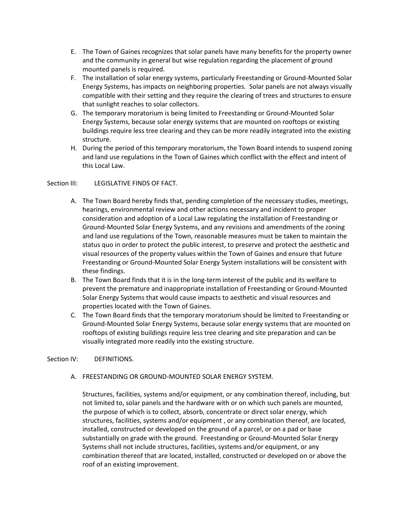- E. The Town of Gaines recognizes that solar panels have many benefits for the property owner and the community in general but wise regulation regarding the placement of ground mounted panels is required.
- F. The installation of solar energy systems, particularly Freestanding or Ground-Mounted Solar Energy Systems, has impacts on neighboring properties. Solar panels are not always visually compatible with their setting and they require the clearing of trees and structures to ensure that sunlight reaches to solar collectors.
- G. The temporary moratorium is being limited to Freestanding or Ground-Mounted Solar Energy Systems, because solar energy systems that are mounted on rooftops or existing buildings require less tree clearing and they can be more readily integrated into the existing structure.
- H. During the period of this temporary moratorium, the Town Board intends to suspend zoning and land use regulations in the Town of Gaines which conflict with the effect and intent of this Local Law.

### Section III: LEGISLATIVE FINDS OF FACT.

- A. The Town Board hereby finds that, pending completion of the necessary studies, meetings, hearings, environmental review and other actions necessary and incident to proper consideration and adoption of a Local Law regulating the installation of Freestanding or Ground-Mounted Solar Energy Systems, and any revisions and amendments of the zoning and land use regulations of the Town, reasonable measures must be taken to maintain the status quo in order to protect the public interest, to preserve and protect the aesthetic and visual resources of the property values within the Town of Gaines and ensure that future Freestanding or Ground-Mounted Solar Energy System installations will be consistent with these findings.
- B. The Town Board finds that it is in the long-term interest of the public and its welfare to prevent the premature and inappropriate installation of Freestanding or Ground-Mounted Solar Energy Systems that would cause impacts to aesthetic and visual resources and properties located with the Town of Gaines.
- C. The Town Board finds that the temporary moratorium should be limited to Freestanding or Ground-Mounted Solar Energy Systems, because solar energy systems that are mounted on rooftops of existing buildings require less tree clearing and site preparation and can be visually integrated more readily into the existing structure.

#### Section IV: DEFINITIONS.

A. FREESTANDING OR GROUND-MOUNTED SOLAR ENERGY SYSTEM.

Structures, facilities, systems and/or equipment, or any combination thereof, including, but not limited to, solar panels and the hardware with or on which such panels are mounted, the purpose of which is to collect, absorb, concentrate or direct solar energy, which structures, facilities, systems and/or equipment , or any combination thereof, are located, installed, constructed or developed on the ground of a parcel, or on a pad or base substantially on grade with the ground. Freestanding or Ground-Mounted Solar Energy Systems shall not include structures, facilities, systems and/or equipment, or any combination thereof that are located, installed, constructed or developed on or above the roof of an existing improvement.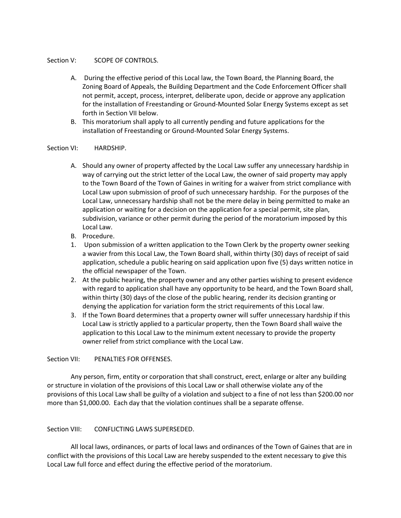#### Section V: SCOPE OF CONTROLS.

- A. During the effective period of this Local law, the Town Board, the Planning Board, the Zoning Board of Appeals, the Building Department and the Code Enforcement Officer shall not permit, accept, process, interpret, deliberate upon, decide or approve any application for the installation of Freestanding or Ground-Mounted Solar Energy Systems except as set forth in Section VII below.
- B. This moratorium shall apply to all currently pending and future applications for the installation of Freestanding or Ground-Mounted Solar Energy Systems.

#### Section VI: HARDSHIP.

- A. Should any owner of property affected by the Local Law suffer any unnecessary hardship in way of carrying out the strict letter of the Local Law, the owner of said property may apply to the Town Board of the Town of Gaines in writing for a waiver from strict compliance with Local Law upon submission of proof of such unnecessary hardship. For the purposes of the Local Law, unnecessary hardship shall not be the mere delay in being permitted to make an application or waiting for a decision on the application for a special permit, site plan, subdivision, variance or other permit during the period of the moratorium imposed by this Local Law.
- B. Procedure.
- 1. Upon submission of a written application to the Town Clerk by the property owner seeking a wavier from this Local Law, the Town Board shall, within thirty (30) days of receipt of said application, schedule a public hearing on said application upon five (5) days written notice in the official newspaper of the Town.
- 2. At the public hearing, the property owner and any other parties wishing to present evidence with regard to application shall have any opportunity to be heard, and the Town Board shall, within thirty (30) days of the close of the public hearing, render its decision granting or denying the application for variation form the strict requirements of this Local law.
- 3. If the Town Board determines that a property owner will suffer unnecessary hardship if this Local Law is strictly applied to a particular property, then the Town Board shall waive the application to this Local Law to the minimum extent necessary to provide the property owner relief from strict compliance with the Local Law.

### Section VII: PENALTIES FOR OFFENSES.

Any person, firm, entity or corporation that shall construct, erect, enlarge or alter any building or structure in violation of the provisions of this Local Law or shall otherwise violate any of the provisions of this Local Law shall be guilty of a violation and subject to a fine of not less than \$200.00 nor more than \$1,000.00. Each day that the violation continues shall be a separate offense.

### Section VIII: CONFLICTING LAWS SUPERSEDED.

All local laws, ordinances, or parts of local laws and ordinances of the Town of Gaines that are in conflict with the provisions of this Local Law are hereby suspended to the extent necessary to give this Local Law full force and effect during the effective period of the moratorium.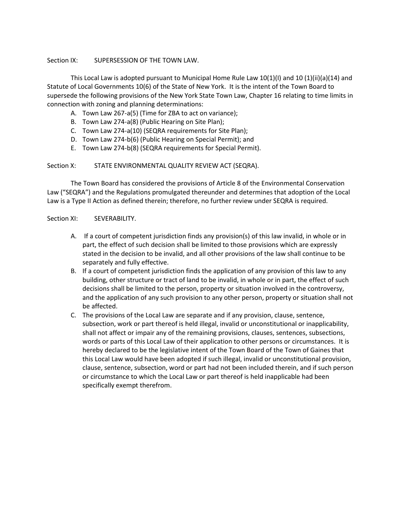#### Section IX: SUPERSESSION OF THE TOWN LAW.

This Local Law is adopted pursuant to Municipal Home Rule Law 10(1)(I) and 10 (1)(ii)(a)(14) and Statute of Local Governments 10(6) of the State of New York. It is the intent of the Town Board to supersede the following provisions of the New York State Town Law, Chapter 16 relating to time limits in connection with zoning and planning determinations:

- A. Town Law 267-a(5) (Time for ZBA to act on variance);
- B. Town Law 274-a(8) (Public Hearing on Site Plan);
- C. Town Law 274-a(10) (SEQRA requirements for Site Plan);
- D. Town Law 274-b(6) (Public Hearing on Special Permit); and
- E. Town Law 274-b(8) (SEQRA requirements for Special Permit).

#### Section X: STATE ENVIRONMENTAL QUALITY REVIEW ACT (SEQRA).

The Town Board has considered the provisions of Article 8 of the Environmental Conservation Law ("SEQRA") and the Regulations promulgated thereunder and determines that adoption of the Local Law is a Type II Action as defined therein; therefore, no further review under SEQRA is required.

#### Section XI: SEVERABILITY.

- A. If a court of competent jurisdiction finds any provision(s) of this law invalid, in whole or in part, the effect of such decision shall be limited to those provisions which are expressly stated in the decision to be invalid, and all other provisions of the law shall continue to be separately and fully effective.
- B. If a court of competent jurisdiction finds the application of any provision of this law to any building, other structure or tract of land to be invalid, in whole or in part, the effect of such decisions shall be limited to the person, property or situation involved in the controversy, and the application of any such provision to any other person, property or situation shall not be affected.
- C. The provisions of the Local Law are separate and if any provision, clause, sentence, subsection, work or part thereof is held illegal, invalid or unconstitutional or inapplicability, shall not affect or impair any of the remaining provisions, clauses, sentences, subsections, words or parts of this Local Law of their application to other persons or circumstances. It is hereby declared to be the legislative intent of the Town Board of the Town of Gaines that this Local Law would have been adopted if such illegal, invalid or unconstitutional provision, clause, sentence, subsection, word or part had not been included therein, and if such person or circumstance to which the Local Law or part thereof is held inapplicable had been specifically exempt therefrom.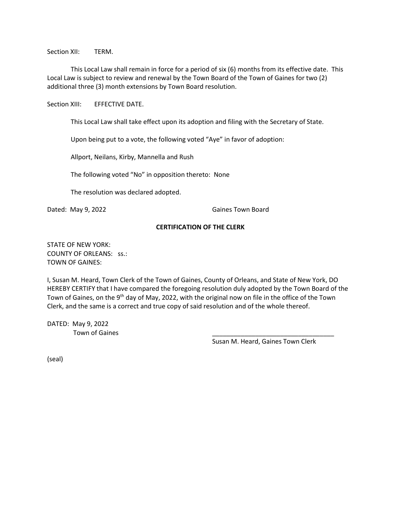Section XII: TERM.

This Local Law shall remain in force for a period of six (6) months from its effective date. This Local Law is subject to review and renewal by the Town Board of the Town of Gaines for two (2) additional three (3) month extensions by Town Board resolution.

Section XIII: EFFECTIVE DATE.

This Local Law shall take effect upon its adoption and filing with the Secretary of State.

Upon being put to a vote, the following voted "Aye" in favor of adoption:

Allport, Neilans, Kirby, Mannella and Rush

The following voted "No" in opposition thereto: None

The resolution was declared adopted.

Dated: May 9, 2022 Caines Town Board

#### **CERTIFICATION OF THE CLERK**

STATE OF NEW YORK: COUNTY OF ORLEANS: ss.: TOWN OF GAINES:

I, Susan M. Heard, Town Clerk of the Town of Gaines, County of Orleans, and State of New York, DO HEREBY CERTIFY that I have compared the foregoing resolution duly adopted by the Town Board of the Town of Gaines, on the 9<sup>th</sup> day of May, 2022, with the original now on file in the office of the Town Clerk, and the same is a correct and true copy of said resolution and of the whole thereof.

DATED: May 9, 2022 Town of Gaines

Susan M. Heard, Gaines Town Clerk

(seal)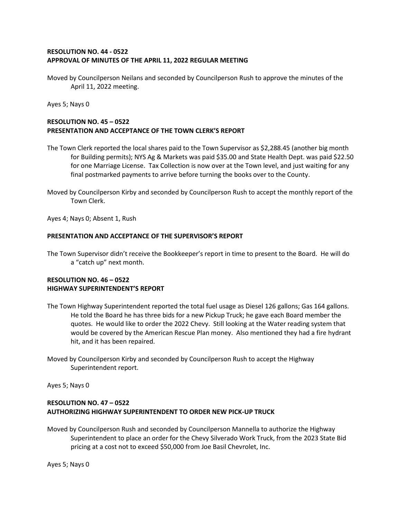### **RESOLUTION NO. 44 - 0522 APPROVAL OF MINUTES OF THE APRIL 11, 2022 REGULAR MEETING**

Moved by Councilperson Neilans and seconded by Councilperson Rush to approve the minutes of the April 11, 2022 meeting.

Ayes 5; Nays 0

## **RESOLUTION NO. 45 – 0522 PRESENTATION AND ACCEPTANCE OF THE TOWN CLERK'S REPORT**

- The Town Clerk reported the local shares paid to the Town Supervisor as \$2,288.45 (another big month for Building permits); NYS Ag & Markets was paid \$35.00 and State Health Dept. was paid \$22.50 for one Marriage License. Tax Collection is now over at the Town level, and just waiting for any final postmarked payments to arrive before turning the books over to the County.
- Moved by Councilperson Kirby and seconded by Councilperson Rush to accept the monthly report of the Town Clerk.

Ayes 4; Nays 0; Absent 1, Rush

#### **PRESENTATION AND ACCEPTANCE OF THE SUPERVISOR'S REPORT**

The Town Supervisor didn't receive the Bookkeeper's report in time to present to the Board. He will do a "catch up" next month.

### **RESOLUTION NO. 46 – 0522 HIGHWAY SUPERINTENDENT'S REPORT**

- The Town Highway Superintendent reported the total fuel usage as Diesel 126 gallons; Gas 164 gallons. He told the Board he has three bids for a new Pickup Truck; he gave each Board member the quotes. He would like to order the 2022 Chevy. Still looking at the Water reading system that would be covered by the American Rescue Plan money. Also mentioned they had a fire hydrant hit, and it has been repaired.
- Moved by Councilperson Kirby and seconded by Councilperson Rush to accept the Highway Superintendent report.

Ayes 5; Nays 0

## **RESOLUTION NO. 47 – 0522 AUTHORIZING HIGHWAY SUPERINTENDENT TO ORDER NEW PICK-UP TRUCK**

Moved by Councilperson Rush and seconded by Councilperson Mannella to authorize the Highway Superintendent to place an order for the Chevy Silverado Work Truck, from the 2023 State Bid pricing at a cost not to exceed \$50,000 from Joe Basil Chevrolet, Inc.

Ayes 5; Nays 0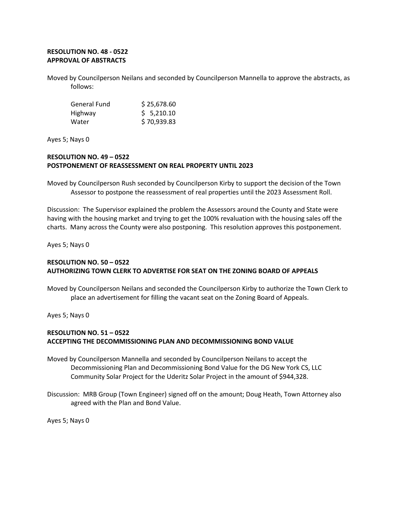# **RESOLUTION NO. 48 - 0522 APPROVAL OF ABSTRACTS**

Moved by Councilperson Neilans and seconded by Councilperson Mannella to approve the abstracts, as follows:

| General Fund | \$25,678.60 |
|--------------|-------------|
| Highway      | \$5,210.10  |
| Water        | \$70,939.83 |

Ayes 5; Nays 0

## **RESOLUTION NO. 49 – 0522 POSTPONEMENT OF REASSESSMENT ON REAL PROPERTY UNTIL 2023**

Moved by Councilperson Rush seconded by Councilperson Kirby to support the decision of the Town Assessor to postpone the reassessment of real properties until the 2023 Assessment Roll.

Discussion: The Supervisor explained the problem the Assessors around the County and State were having with the housing market and trying to get the 100% revaluation with the housing sales off the charts. Many across the County were also postponing. This resolution approves this postponement.

Ayes 5; Nays 0

## **RESOLUTION NO. 50 – 0522 AUTHORIZING TOWN CLERK TO ADVERTISE FOR SEAT ON THE ZONING BOARD OF APPEALS**

Moved by Councilperson Neilans and seconded the Councilperson Kirby to authorize the Town Clerk to place an advertisement for filling the vacant seat on the Zoning Board of Appeals.

Ayes 5; Nays 0

## **RESOLUTION NO. 51 – 0522 ACCEPTING THE DECOMMISSIONING PLAN AND DECOMMISSIONING BOND VALUE**

- Moved by Councilperson Mannella and seconded by Councilperson Neilans to accept the Decommissioning Plan and Decommissioning Bond Value for the DG New York CS, LLC Community Solar Project for the Uderitz Solar Project in the amount of \$944,328.
- Discussion: MRB Group (Town Engineer) signed off on the amount; Doug Heath, Town Attorney also agreed with the Plan and Bond Value.

Ayes 5; Nays 0